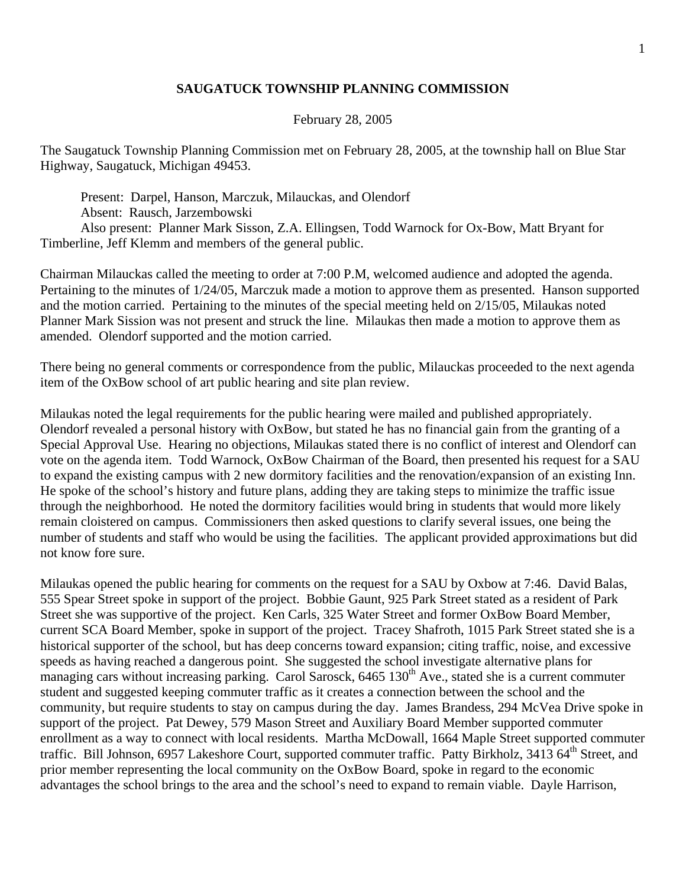## **SAUGATUCK TOWNSHIP PLANNING COMMISSION**

## February 28, 2005

The Saugatuck Township Planning Commission met on February 28, 2005, at the township hall on Blue Star Highway, Saugatuck, Michigan 49453.

 Present: Darpel, Hanson, Marczuk, Milauckas, and Olendorf Absent: Rausch, Jarzembowski Also present: Planner Mark Sisson, Z.A. Ellingsen, Todd Warnock for Ox-Bow, Matt Bryant for Timberline, Jeff Klemm and members of the general public.

Chairman Milauckas called the meeting to order at 7:00 P.M, welcomed audience and adopted the agenda. Pertaining to the minutes of 1/24/05, Marczuk made a motion to approve them as presented. Hanson supported and the motion carried. Pertaining to the minutes of the special meeting held on 2/15/05, Milaukas noted Planner Mark Sission was not present and struck the line. Milaukas then made a motion to approve them as amended. Olendorf supported and the motion carried.

There being no general comments or correspondence from the public, Milauckas proceeded to the next agenda item of the OxBow school of art public hearing and site plan review.

Milaukas noted the legal requirements for the public hearing were mailed and published appropriately. Olendorf revealed a personal history with OxBow, but stated he has no financial gain from the granting of a Special Approval Use. Hearing no objections, Milaukas stated there is no conflict of interest and Olendorf can vote on the agenda item. Todd Warnock, OxBow Chairman of the Board, then presented his request for a SAU to expand the existing campus with 2 new dormitory facilities and the renovation/expansion of an existing Inn. He spoke of the school's history and future plans, adding they are taking steps to minimize the traffic issue through the neighborhood. He noted the dormitory facilities would bring in students that would more likely remain cloistered on campus. Commissioners then asked questions to clarify several issues, one being the number of students and staff who would be using the facilities. The applicant provided approximations but did not know fore sure.

Milaukas opened the public hearing for comments on the request for a SAU by Oxbow at 7:46. David Balas, 555 Spear Street spoke in support of the project. Bobbie Gaunt, 925 Park Street stated as a resident of Park Street she was supportive of the project. Ken Carls, 325 Water Street and former OxBow Board Member, current SCA Board Member, spoke in support of the project. Tracey Shafroth, 1015 Park Street stated she is a historical supporter of the school, but has deep concerns toward expansion; citing traffic, noise, and excessive speeds as having reached a dangerous point. She suggested the school investigate alternative plans for managing cars without increasing parking. Carol Sarosck,  $6465 130<sup>th</sup>$  Ave., stated she is a current commuter student and suggested keeping commuter traffic as it creates a connection between the school and the community, but require students to stay on campus during the day. James Brandess, 294 McVea Drive spoke in support of the project. Pat Dewey, 579 Mason Street and Auxiliary Board Member supported commuter enrollment as a way to connect with local residents. Martha McDowall, 1664 Maple Street supported commuter traffic. Bill Johnson, 6957 Lakeshore Court, supported commuter traffic. Patty Birkholz, 3413 64<sup>th</sup> Street, and prior member representing the local community on the OxBow Board, spoke in regard to the economic advantages the school brings to the area and the school's need to expand to remain viable. Dayle Harrison,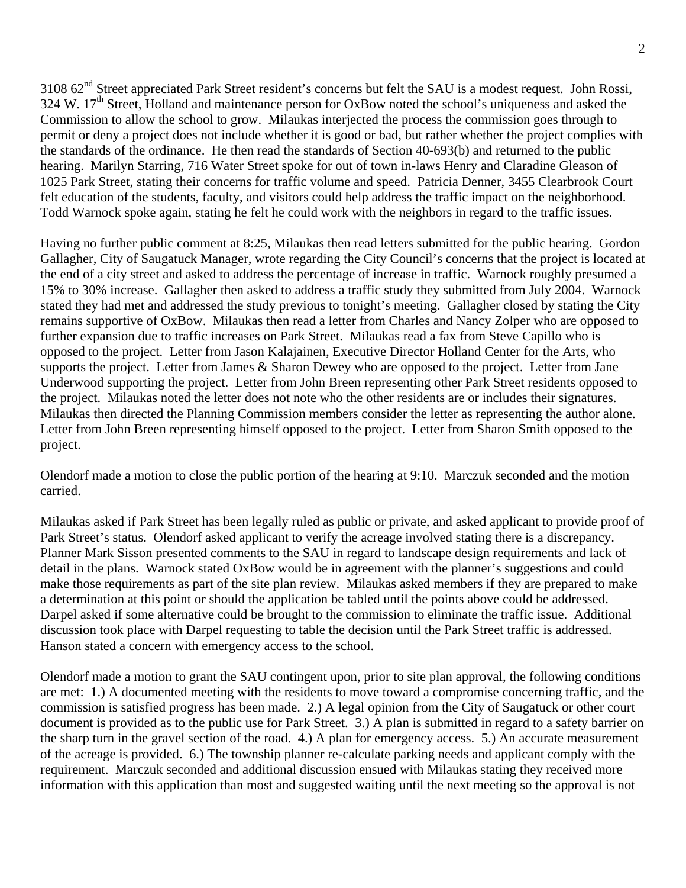3108 62<sup>nd</sup> Street appreciated Park Street resident's concerns but felt the SAU is a modest request. John Rossi, 324 W. 17<sup>th</sup> Street, Holland and maintenance person for OxBow noted the school's uniqueness and asked the Commission to allow the school to grow. Milaukas interjected the process the commission goes through to permit or deny a project does not include whether it is good or bad, but rather whether the project complies with the standards of the ordinance. He then read the standards of Section 40-693(b) and returned to the public hearing. Marilyn Starring, 716 Water Street spoke for out of town in-laws Henry and Claradine Gleason of 1025 Park Street, stating their concerns for traffic volume and speed. Patricia Denner, 3455 Clearbrook Court felt education of the students, faculty, and visitors could help address the traffic impact on the neighborhood. Todd Warnock spoke again, stating he felt he could work with the neighbors in regard to the traffic issues.

Having no further public comment at 8:25, Milaukas then read letters submitted for the public hearing. Gordon Gallagher, City of Saugatuck Manager, wrote regarding the City Council's concerns that the project is located at the end of a city street and asked to address the percentage of increase in traffic. Warnock roughly presumed a 15% to 30% increase. Gallagher then asked to address a traffic study they submitted from July 2004. Warnock stated they had met and addressed the study previous to tonight's meeting. Gallagher closed by stating the City remains supportive of OxBow. Milaukas then read a letter from Charles and Nancy Zolper who are opposed to further expansion due to traffic increases on Park Street. Milaukas read a fax from Steve Capillo who is opposed to the project. Letter from Jason Kalajainen, Executive Director Holland Center for the Arts, who supports the project. Letter from James & Sharon Dewey who are opposed to the project. Letter from Jane Underwood supporting the project. Letter from John Breen representing other Park Street residents opposed to the project. Milaukas noted the letter does not note who the other residents are or includes their signatures. Milaukas then directed the Planning Commission members consider the letter as representing the author alone. Letter from John Breen representing himself opposed to the project. Letter from Sharon Smith opposed to the project.

Olendorf made a motion to close the public portion of the hearing at 9:10. Marczuk seconded and the motion carried.

Milaukas asked if Park Street has been legally ruled as public or private, and asked applicant to provide proof of Park Street's status. Olendorf asked applicant to verify the acreage involved stating there is a discrepancy. Planner Mark Sisson presented comments to the SAU in regard to landscape design requirements and lack of detail in the plans. Warnock stated OxBow would be in agreement with the planner's suggestions and could make those requirements as part of the site plan review. Milaukas asked members if they are prepared to make a determination at this point or should the application be tabled until the points above could be addressed. Darpel asked if some alternative could be brought to the commission to eliminate the traffic issue. Additional discussion took place with Darpel requesting to table the decision until the Park Street traffic is addressed. Hanson stated a concern with emergency access to the school.

Olendorf made a motion to grant the SAU contingent upon, prior to site plan approval, the following conditions are met: 1.) A documented meeting with the residents to move toward a compromise concerning traffic, and the commission is satisfied progress has been made. 2.) A legal opinion from the City of Saugatuck or other court document is provided as to the public use for Park Street. 3.) A plan is submitted in regard to a safety barrier on the sharp turn in the gravel section of the road. 4.) A plan for emergency access. 5.) An accurate measurement of the acreage is provided. 6.) The township planner re-calculate parking needs and applicant comply with the requirement. Marczuk seconded and additional discussion ensued with Milaukas stating they received more information with this application than most and suggested waiting until the next meeting so the approval is not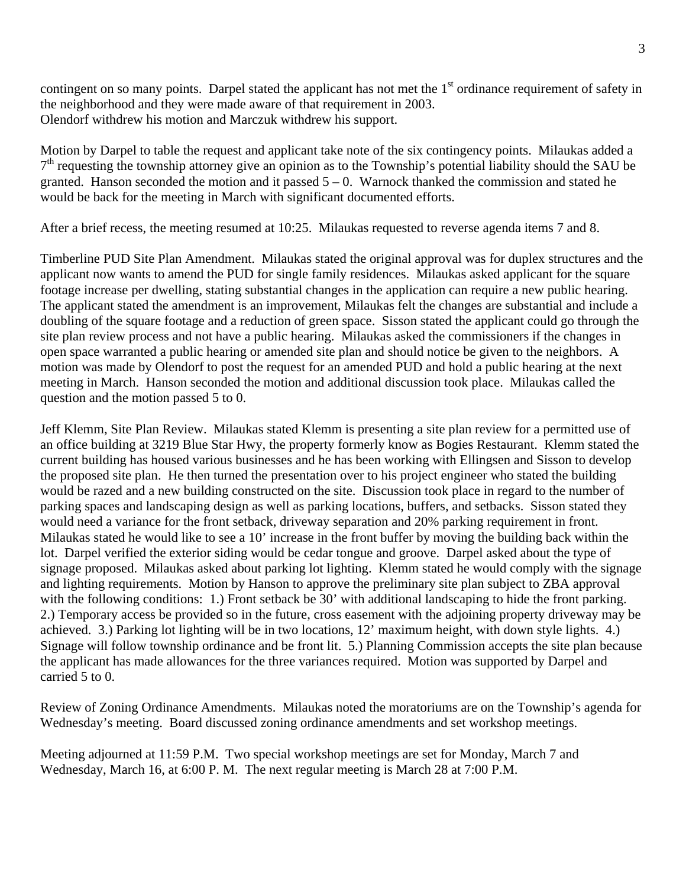contingent on so many points. Darpel stated the applicant has not met the 1<sup>st</sup> ordinance requirement of safety in the neighborhood and they were made aware of that requirement in 2003. Olendorf withdrew his motion and Marczuk withdrew his support.

Motion by Darpel to table the request and applicant take note of the six contingency points. Milaukas added a  $7<sup>th</sup>$  requesting the township attorney give an opinion as to the Township's potential liability should the SAU be granted. Hanson seconded the motion and it passed  $5 - 0$ . Warnock thanked the commission and stated he would be back for the meeting in March with significant documented efforts.

After a brief recess, the meeting resumed at 10:25. Milaukas requested to reverse agenda items 7 and 8.

Timberline PUD Site Plan Amendment. Milaukas stated the original approval was for duplex structures and the applicant now wants to amend the PUD for single family residences. Milaukas asked applicant for the square footage increase per dwelling, stating substantial changes in the application can require a new public hearing. The applicant stated the amendment is an improvement, Milaukas felt the changes are substantial and include a doubling of the square footage and a reduction of green space. Sisson stated the applicant could go through the site plan review process and not have a public hearing. Milaukas asked the commissioners if the changes in open space warranted a public hearing or amended site plan and should notice be given to the neighbors. A motion was made by Olendorf to post the request for an amended PUD and hold a public hearing at the next meeting in March. Hanson seconded the motion and additional discussion took place. Milaukas called the question and the motion passed 5 to 0.

Jeff Klemm, Site Plan Review. Milaukas stated Klemm is presenting a site plan review for a permitted use of an office building at 3219 Blue Star Hwy, the property formerly know as Bogies Restaurant. Klemm stated the current building has housed various businesses and he has been working with Ellingsen and Sisson to develop the proposed site plan. He then turned the presentation over to his project engineer who stated the building would be razed and a new building constructed on the site. Discussion took place in regard to the number of parking spaces and landscaping design as well as parking locations, buffers, and setbacks. Sisson stated they would need a variance for the front setback, driveway separation and 20% parking requirement in front. Milaukas stated he would like to see a 10' increase in the front buffer by moving the building back within the lot. Darpel verified the exterior siding would be cedar tongue and groove. Darpel asked about the type of signage proposed. Milaukas asked about parking lot lighting. Klemm stated he would comply with the signage and lighting requirements. Motion by Hanson to approve the preliminary site plan subject to ZBA approval with the following conditions: 1.) Front setback be 30' with additional landscaping to hide the front parking. 2.) Temporary access be provided so in the future, cross easement with the adjoining property driveway may be achieved. 3.) Parking lot lighting will be in two locations, 12' maximum height, with down style lights. 4.) Signage will follow township ordinance and be front lit. 5.) Planning Commission accepts the site plan because the applicant has made allowances for the three variances required. Motion was supported by Darpel and carried 5 to 0.

Review of Zoning Ordinance Amendments. Milaukas noted the moratoriums are on the Township's agenda for Wednesday's meeting. Board discussed zoning ordinance amendments and set workshop meetings.

Meeting adjourned at 11:59 P.M. Two special workshop meetings are set for Monday, March 7 and Wednesday, March 16, at 6:00 P. M. The next regular meeting is March 28 at 7:00 P.M.